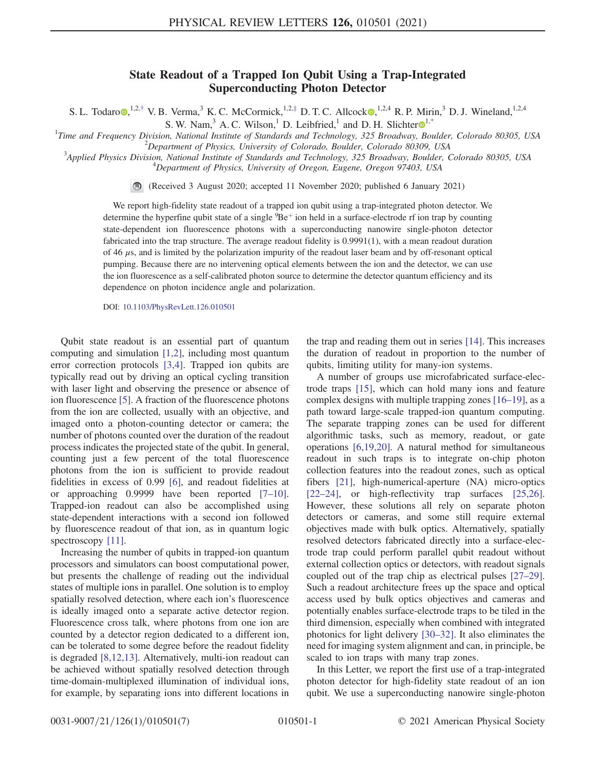## State Readout of a Trapped Ion Qubit Using a Trap-Integrated Superconducting Photon Detector

<span id="page-0-1"></span>S. L. Todaro [,](https://orcid.org/0000-0002-7317-5560)<sup>1,2,[†](#page-4-0)</sup> V. B. Verma,<sup>3</sup> K. C. McCormick,<sup>1,2,[‡](#page-4-1)</sup> D. T. C. Allcock ,<sup>1,2,4</sup> R. P. Mirin,<sup>3</sup> D. J. Wineland,<sup>1,2,4</sup>

S. W. Nam,<sup>3</sup> A. C. Wilson,<sup>[1](https://orcid.org/0000-0002-1228-0631)</sup> D. Leibfried,<sup>1</sup> and D. H. Slichter  $\mathbb{D}^{1,4}$ 

<span id="page-0-0"></span><sup>1</sup>Time and Frequency Division, National Institute of Standards and Technology, 325 Broadway, Boulder, Colorado 80305, USA  $^{2}$ Department of Physics, University of Colorado Boulder, Colorado 80300, USA

 $^{2}$ Department of Physics, University of Colorado, Boulder, Colorado 80309, USA

<sup>3</sup>Applied Physics Division, National Institute of Standards and Technology, 325 Broadway, Boulder, Colorado 80305, USA  $^{4}$ Department of Physics, University of Oregon, Eugene, Oregon 97403, USA

 $\bigcirc$ 

(Received 3 August 2020; accepted 11 November 2020; published 6 January 2021)

We report high-fidelity state readout of a trapped ion qubit using a trap-integrated photon detector. We determine the hyperfine qubit state of a single  ${}^{9}Be+$  ion held in a surface-electrode rf ion trap by counting state-dependent ion fluorescence photons with a superconducting nanowire single-photon detector fabricated into the trap structure. The average readout fidelity is 0.9991(1), with a mean readout duration of 46  $\mu$ s, and is limited by the polarization impurity of the readout laser beam and by off-resonant optical pumping. Because there are no intervening optical elements between the ion and the detector, we can use the ion fluorescence as a self-calibrated photon source to determine the detector quantum efficiency and its dependence on photon incidence angle and polarization.

DOI: [10.1103/PhysRevLett.126.010501](https://doi.org/10.1103/PhysRevLett.126.010501)

Qubit state readout is an essential part of quantum computing and simulation [\[1,2\],](#page-4-3) including most quantum error correction protocols [\[3,4\]](#page-4-4). Trapped ion qubits are typically read out by driving an optical cycling transition with laser light and observing the presence or absence of ion fluorescence [\[5\]](#page-4-5). A fraction of the fluorescence photons from the ion are collected, usually with an objective, and imaged onto a photon-counting detector or camera; the number of photons counted over the duration of the readout process indicates the projected state of the qubit. In general, counting just a few percent of the total fluorescence photons from the ion is sufficient to provide readout fidelities in excess of 0.99 [\[6\],](#page-4-6) and readout fidelities at or approaching 0.9999 have been reported [7–[10\]](#page-4-7). Trapped-ion readout can also be accomplished using state-dependent interactions with a second ion followed by fluorescence readout of that ion, as in quantum logic spectroscopy [\[11\]](#page-4-8).

Increasing the number of qubits in trapped-ion quantum processors and simulators can boost computational power, but presents the challenge of reading out the individual states of multiple ions in parallel. One solution is to employ spatially resolved detection, where each ion's fluorescence is ideally imaged onto a separate active detector region. Fluorescence cross talk, where photons from one ion are counted by a detector region dedicated to a different ion, can be tolerated to some degree before the readout fidelity is degraded [\[8,12,13\]](#page-4-9). Alternatively, multi-ion readout can be achieved without spatially resolved detection through time-domain-multiplexed illumination of individual ions, for example, by separating ions into different locations in the trap and reading them out in series [\[14\]](#page-4-10). This increases the duration of readout in proportion to the number of qubits, limiting utility for many-ion systems.

A number of groups use microfabricated surface-electrode traps [\[15\],](#page-4-11) which can hold many ions and feature complex designs with multiple trapping zones [16–[19\],](#page-4-12) as a path toward large-scale trapped-ion quantum computing. The separate trapping zones can be used for different algorithmic tasks, such as memory, readout, or gate operations [\[6,19,20\].](#page-4-6) A natural method for simultaneous readout in such traps is to integrate on-chip photon collection features into the readout zones, such as optical fibers [\[21\]](#page-5-0), high-numerical-aperture (NA) micro-optics [\[22](#page-5-1)–24], or high-reflectivity trap surfaces [\[25,26\]](#page-5-2). However, these solutions all rely on separate photon detectors or cameras, and some still require external objectives made with bulk optics. Alternatively, spatially resolved detectors fabricated directly into a surface-electrode trap could perform parallel qubit readout without external collection optics or detectors, with readout signals coupled out of the trap chip as electrical pulses [\[27](#page-5-3)–29]. Such a readout architecture frees up the space and optical access used by bulk optics objectives and cameras and potentially enables surface-electrode traps to be tiled in the third dimension, especially when combined with integrated photonics for light delivery [\[30](#page-5-4)–32]. It also eliminates the need for imaging system alignment and can, in principle, be scaled to ion traps with many trap zones.

In this Letter, we report the first use of a trap-integrated photon detector for high-fidelity state readout of an ion qubit. We use a superconducting nanowire single-photon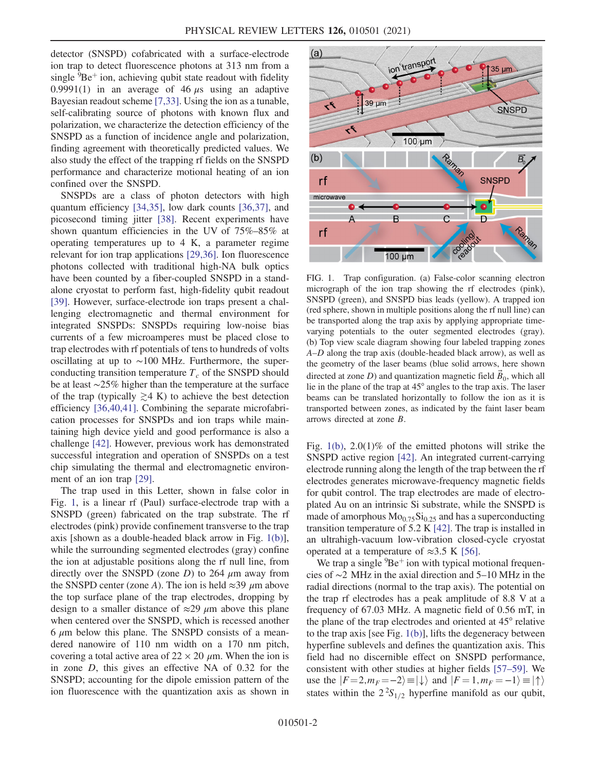detector (SNSPD) cofabricated with a surface-electrode ion trap to detect fluorescence photons at 313 nm from a single  ${}^{9}Be^+$  ion, achieving qubit state readout with fidelity 0.9991(1) in an average of 46  $\mu$ s using an adaptive Bayesian readout scheme [\[7,33\]](#page-4-7). Using the ion as a tunable, self-calibrating source of photons with known flux and polarization, we characterize the detection efficiency of the SNSPD as a function of incidence angle and polarization, finding agreement with theoretically predicted values. We also study the effect of the trapping rf fields on the SNSPD performance and characterize motional heating of an ion confined over the SNSPD.

SNSPDs are a class of photon detectors with high quantum efficiency [\[34,35\]](#page-5-5), low dark counts [\[36,37\],](#page-5-6) and picosecond timing jitter [\[38\]](#page-5-7). Recent experiments have shown quantum efficiencies in the UV of 75%–85% at operating temperatures up to 4 K, a parameter regime relevant for ion trap applications [\[29,36\]](#page-5-8). Ion fluorescence photons collected with traditional high-NA bulk optics have been counted by a fiber-coupled SNSPD in a standalone cryostat to perform fast, high-fidelity qubit readout [\[39\]](#page-5-9). However, surface-electrode ion traps present a challenging electromagnetic and thermal environment for integrated SNSPDs: SNSPDs requiring low-noise bias currents of a few microamperes must be placed close to trap electrodes with rf potentials of tens to hundreds of volts oscillating at up to ∼100 MHz. Furthermore, the superconducting transition temperature  $T_c$  of the SNSPD should be at least ∼25% higher than the temperature at the surface of the trap (typically  $\geq 4$  K) to achieve the best detection efficiency [\[36,40,41\].](#page-5-6) Combining the separate microfabrication processes for SNSPDs and ion traps while maintaining high device yield and good performance is also a challenge [\[42\]](#page-5-10). However, previous work has demonstrated successful integration and operation of SNSPDs on a test chip simulating the thermal and electromagnetic environment of an ion trap [\[29\]](#page-5-8).

The trap used in this Letter, shown in false color in Fig. [1](#page-1-0), is a linear rf (Paul) surface-electrode trap with a SNSPD (green) fabricated on the trap substrate. The rf electrodes (pink) provide confinement transverse to the trap axis [shown as a double-headed black arrow in Fig. [1\(b\)](#page-1-0)], while the surrounding segmented electrodes (gray) confine the ion at adjustable positions along the rf null line, from directly over the SNSPD (zone  $D$ ) to 264  $\mu$ m away from the SNSPD center (zone A). The ion is held  $\approx$ 39  $\mu$ m above the top surface plane of the trap electrodes, dropping by design to a smaller distance of  $\approx$ 29  $\mu$ m above this plane when centered over the SNSPD, which is recessed another  $6 \mu m$  below this plane. The SNSPD consists of a meandered nanowire of 110 nm width on a 170 nm pitch, covering a total active area of  $22 \times 20 \mu$ m. When the ion is in zone D, this gives an effective NA of 0.32 for the SNSPD; accounting for the dipole emission pattern of the ion fluorescence with the quantization axis as shown in

<span id="page-1-0"></span>

FIG. 1. Trap configuration. (a) False-color scanning electron micrograph of the ion trap showing the rf electrodes (pink), SNSPD (green), and SNSPD bias leads (yellow). A trapped ion (red sphere, shown in multiple positions along the rf null line) can be transported along the trap axis by applying appropriate timevarying potentials to the outer segmented electrodes (gray). (b) Top view scale diagram showing four labeled trapping zones A–D along the trap axis (double-headed black arrow), as well as the geometry of the laser beams (blue solid arrows, here shown directed at zone D) and quantization magnetic field  $\vec{B}_0$ , which all lie in the plane of the trap at 45° angles to the trap axis. The laser beams can be translated horizontally to follow the ion as it is transported between zones, as indicated by the faint laser beam arrows directed at zone B.

Fig.  $1(b)$ ,  $2.0(1)\%$  of the emitted photons will strike the SNSPD active region [\[42\].](#page-5-10) An integrated current-carrying electrode running along the length of the trap between the rf electrodes generates microwave-frequency magnetic fields for qubit control. The trap electrodes are made of electroplated Au on an intrinsic Si substrate, while the SNSPD is made of amorphous  $Mo_{0.75}Si_{0.25}$  and has a superconducting transition temperature of 5.2 K [\[42\].](#page-5-10) The trap is installed in an ultrahigh-vacuum low-vibration closed-cycle cryostat operated at a temperature of  $\approx$ 3.5 K [\[56\]](#page-6-0).

We trap a single  ${}^{9}Be^+$  ion with typical motional frequencies of ∼2 MHz in the axial direction and 5–10 MHz in the radial directions (normal to the trap axis). The potential on the trap rf electrodes has a peak amplitude of 8.8 V at a frequency of 67.03 MHz. A magnetic field of 0.56 mT, in the plane of the trap electrodes and oriented at 45° relative to the trap axis [see Fig. [1\(b\)\]](#page-1-0), lifts the degeneracy between hyperfine sublevels and defines the quantization axis. This field had no discernible effect on SNSPD performance, consistent with other studies at higher fields [\[57](#page-6-1)–59]. We use the  $|F=2,m_F=-2\rangle \equiv |\downarrow\rangle$  and  $|F=1,m_F=-1\rangle \equiv |\uparrow\rangle$ states within the  $2^2S_{1/2}$  hyperfine manifold as our qubit,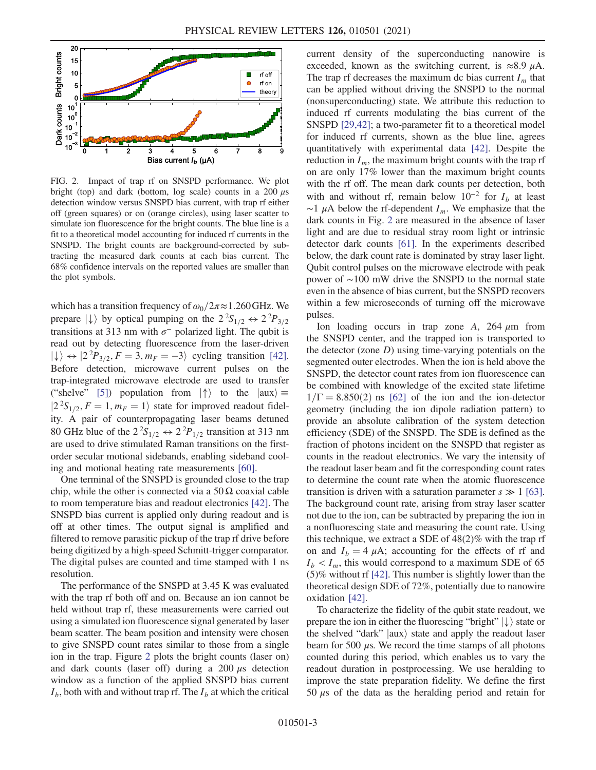<span id="page-2-0"></span>

FIG. 2. Impact of trap rf on SNSPD performance. We plot bright (top) and dark (bottom, log scale) counts in a 200  $\mu$ s detection window versus SNSPD bias current, with trap rf either off (green squares) or on (orange circles), using laser scatter to simulate ion fluorescence for the bright counts. The blue line is a fit to a theoretical model accounting for induced rf currents in the SNSPD. The bright counts are background-corrected by subtracting the measured dark counts at each bias current. The 68% confidence intervals on the reported values are smaller than the plot symbols.

which has a transition frequency of  $\omega_0/2\pi \approx 1.260 \text{ GHz}$ . We prepare  $|\downarrow\rangle$  by optical pumping on the  $2^2S_{1/2} \leftrightarrow 2^2P_{3/2}$ transitions at 313 nm with  $\sigma^-$  polarized light. The qubit is read out by detecting fluorescence from the laser-driven  $|\downarrow\rangle \leftrightarrow |2^2 P_{3/2}, F = 3, m_F = -3\rangle$  cycling transition [\[42\]](#page-5-10). Before detection, microwave current pulses on the trap-integrated microwave electrode are used to transfer ("shelve" [\[5\]](#page-4-5)) population from  $|\uparrow\rangle$  to the  $|aux\rangle \equiv$  $|2^2S_{1/2}, F = 1, m_F = 1\rangle$  state for improved readout fidelity. A pair of counterpropagating laser beams detuned 80 GHz blue of the  $2^2S_{1/2} \leftrightarrow 2^2P_{1/2}$  transition at 313 nm are used to drive stimulated Raman transitions on the firstorder secular motional sidebands, enabling sideband cooling and motional heating rate measurements [\[60\].](#page-6-2)

One terminal of the SNSPD is grounded close to the trap chip, while the other is connected via a  $50 \Omega$  coaxial cable to room temperature bias and readout electronics [\[42\].](#page-5-10) The SNSPD bias current is applied only during readout and is off at other times. The output signal is amplified and filtered to remove parasitic pickup of the trap rf drive before being digitized by a high-speed Schmitt-trigger comparator. The digital pulses are counted and time stamped with 1 ns resolution.

The performance of the SNSPD at 3.45 K was evaluated with the trap rf both off and on. Because an ion cannot be held without trap rf, these measurements were carried out using a simulated ion fluorescence signal generated by laser beam scatter. The beam position and intensity were chosen to give SNSPD count rates similar to those from a single ion in the trap. Figure [2](#page-2-0) plots the bright counts (laser on) and dark counts (laser off) during a  $200 \mu s$  detection window as a function of the applied SNSPD bias current  $I_b$ , both with and without trap rf. The  $I_b$  at which the critical current density of the superconducting nanowire is exceeded, known as the switching current, is  $\approx 8.9 \mu A$ . The trap rf decreases the maximum dc bias current  $I_m$  that can be applied without driving the SNSPD to the normal (nonsuperconducting) state. We attribute this reduction to induced rf currents modulating the bias current of the SNSPD [\[29,42\];](#page-5-8) a two-parameter fit to a theoretical model for induced rf currents, shown as the blue line, agrees quantitatively with experimental data [\[42\].](#page-5-10) Despite the reduction in  $I_m$ , the maximum bright counts with the trap rf on are only 17% lower than the maximum bright counts with the rf off. The mean dark counts per detection, both with and without rf, remain below  $10^{-2}$  for  $I_b$  at least  $\sim$ 1 µA below the rf-dependent  $I_m$ . We emphasize that the dark counts in Fig. [2](#page-2-0) are measured in the absence of laser light and are due to residual stray room light or intrinsic detector dark counts [\[61\]](#page-6-3). In the experiments described below, the dark count rate is dominated by stray laser light. Qubit control pulses on the microwave electrode with peak power of ∼100 mW drive the SNSPD to the normal state even in the absence of bias current, but the SNSPD recovers within a few microseconds of turning off the microwave pulses.

Ion loading occurs in trap zone A,  $264 \mu m$  from the SNSPD center, and the trapped ion is transported to the detector (zone  $D$ ) using time-varying potentials on the segmented outer electrodes. When the ion is held above the SNSPD, the detector count rates from ion fluorescence can be combined with knowledge of the excited state lifetime  $1/\Gamma = 8.850(2)$  ns [\[62\]](#page-6-4) of the ion and the ion-detector geometry (including the ion dipole radiation pattern) to provide an absolute calibration of the system detection efficiency (SDE) of the SNSPD. The SDE is defined as the fraction of photons incident on the SNSPD that register as counts in the readout electronics. We vary the intensity of the readout laser beam and fit the corresponding count rates to determine the count rate when the atomic fluorescence transition is driven with a saturation parameter  $s \gg 1$  [\[63\]](#page-6-5). The background count rate, arising from stray laser scatter not due to the ion, can be subtracted by preparing the ion in a nonfluorescing state and measuring the count rate. Using this technique, we extract a SDE of 48(2)% with the trap rf on and  $I_b = 4 \mu A$ ; accounting for the effects of rf and  $I_b < I_m$ , this would correspond to a maximum SDE of 65 (5)% without rf [\[42\].](#page-5-10) This number is slightly lower than the theoretical design SDE of 72%, potentially due to nanowire oxidation [\[42\]](#page-5-10).

To characterize the fidelity of the qubit state readout, we prepare the ion in either the fluorescing "bright"  $|\downarrow\rangle$  state or the shelved "dark"  $|aux\rangle$  state and apply the readout laser beam for 500  $\mu$ s. We record the time stamps of all photons counted during this period, which enables us to vary the readout duration in postprocessing. We use heralding to improve the state preparation fidelity. We define the first 50  $\mu$ s of the data as the heralding period and retain for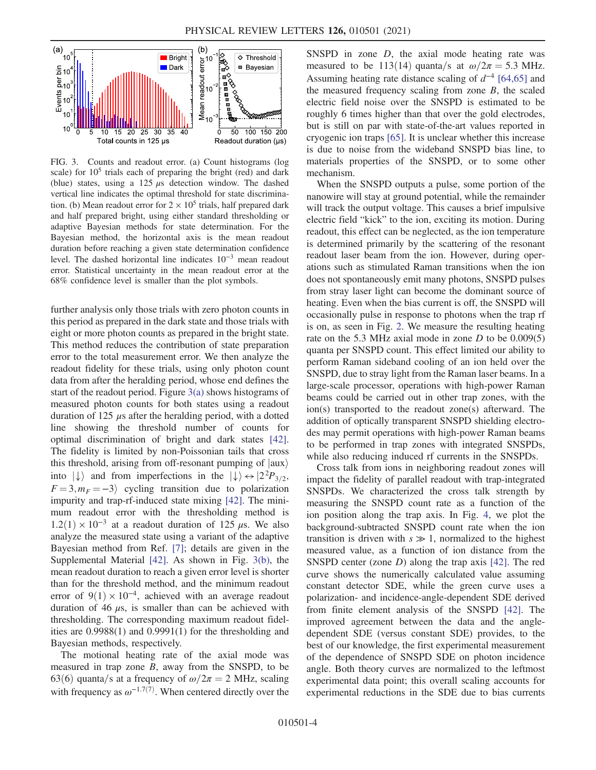<span id="page-3-0"></span>

FIG. 3. Counts and readout error. (a) Count histograms (log scale) for  $10<sup>5</sup>$  trials each of preparing the bright (red) and dark (blue) states, using a  $125 \mu s$  detection window. The dashed vertical line indicates the optimal threshold for state discrimination. (b) Mean readout error for  $2 \times 10^5$  trials, half prepared dark and half prepared bright, using either standard thresholding or adaptive Bayesian methods for state determination. For the Bayesian method, the horizontal axis is the mean readout duration before reaching a given state determination confidence level. The dashed horizontal line indicates 10<sup>−</sup><sup>3</sup> mean readout error. Statistical uncertainty in the mean readout error at the 68% confidence level is smaller than the plot symbols.

further analysis only those trials with zero photon counts in this period as prepared in the dark state and those trials with eight or more photon counts as prepared in the bright state. This method reduces the contribution of state preparation error to the total measurement error. We then analyze the readout fidelity for these trials, using only photon count data from after the heralding period, whose end defines the start of the readout period. Figure [3\(a\)](#page-3-0) shows histograms of measured photon counts for both states using a readout duration of  $125 \mu s$  after the heralding period, with a dotted line showing the threshold number of counts for optimal discrimination of bright and dark states [\[42\]](#page-5-10). The fidelity is limited by non-Poissonian tails that cross this threshold, arising from off-resonant pumping of  $|aux\rangle$ into  $|\downarrow\rangle$  and from imperfections in the  $|\downarrow\rangle \leftrightarrow |2^2P_{3/2}$ ,  $F = 3, m_F = -3$  cycling transition due to polarization impurity and trap-rf-induced state mixing [\[42\].](#page-5-10) The minimum readout error with the thresholding method is  $1.2(1) \times 10^{-3}$  at a readout duration of 125 μs. We also analyze the measured state using a variant of the adaptive Bayesian method from Ref. [\[7\];](#page-4-7) details are given in the Supplemental Material [\[42\].](#page-5-10) As shown in Fig. [3\(b\)](#page-3-0), the mean readout duration to reach a given error level is shorter than for the threshold method, and the minimum readout error of  $9(1) \times 10^{-4}$ , achieved with an average readout duration of 46  $\mu$ s, is smaller than can be achieved with thresholding. The corresponding maximum readout fidelities are 0.9988(1) and 0.9991(1) for the thresholding and Bayesian methods, respectively.

The motional heating rate of the axial mode was measured in trap zone  $B$ , away from the SNSPD, to be 63(6) quanta/s at a frequency of  $\omega/2\pi = 2$  MHz, scaling with frequency as  $\omega^{-1.7(7)}$ . When centered directly over the SNSPD in zone  $D$ , the axial mode heating rate was measured to be 113(14) quanta/s at  $\omega/2\pi = 5.3$  MHz. Assuming heating rate distance scaling of  $d^{-4}$  [\[64,65\]](#page-6-6) and the measured frequency scaling from zone  $B$ , the scaled electric field noise over the SNSPD is estimated to be roughly 6 times higher than that over the gold electrodes, but is still on par with state-of-the-art values reported in cryogenic ion traps [\[65\].](#page-6-7) It is unclear whether this increase is due to noise from the wideband SNSPD bias line, to materials properties of the SNSPD, or to some other mechanism.

When the SNSPD outputs a pulse, some portion of the nanowire will stay at ground potential, while the remainder will track the output voltage. This causes a brief impulsive electric field "kick" to the ion, exciting its motion. During readout, this effect can be neglected, as the ion temperature is determined primarily by the scattering of the resonant readout laser beam from the ion. However, during operations such as stimulated Raman transitions when the ion does not spontaneously emit many photons, SNSPD pulses from stray laser light can become the dominant source of heating. Even when the bias current is off, the SNSPD will occasionally pulse in response to photons when the trap rf is on, as seen in Fig. [2.](#page-2-0) We measure the resulting heating rate on the 5.3 MHz axial mode in zone  $D$  to be  $0.009(5)$ quanta per SNSPD count. This effect limited our ability to perform Raman sideband cooling of an ion held over the SNSPD, due to stray light from the Raman laser beams. In a large-scale processor, operations with high-power Raman beams could be carried out in other trap zones, with the ion(s) transported to the readout zone(s) afterward. The addition of optically transparent SNSPD shielding electrodes may permit operations with high-power Raman beams to be performed in trap zones with integrated SNSPDs, while also reducing induced rf currents in the SNSPDs.

Cross talk from ions in neighboring readout zones will impact the fidelity of parallel readout with trap-integrated SNSPDs. We characterized the cross talk strength by measuring the SNSPD count rate as a function of the ion position along the trap axis. In Fig. [4](#page-4-13), we plot the background-subtracted SNSPD count rate when the ion transition is driven with  $s \gg 1$ , normalized to the highest measured value, as a function of ion distance from the SNSPD center (zone D) along the trap axis [\[42\]](#page-5-10). The red curve shows the numerically calculated value assuming constant detector SDE, while the green curve uses a polarization- and incidence-angle-dependent SDE derived from finite element analysis of the SNSPD [\[42\]](#page-5-10). The improved agreement between the data and the angledependent SDE (versus constant SDE) provides, to the best of our knowledge, the first experimental measurement of the dependence of SNSPD SDE on photon incidence angle. Both theory curves are normalized to the leftmost experimental data point; this overall scaling accounts for experimental reductions in the SDE due to bias currents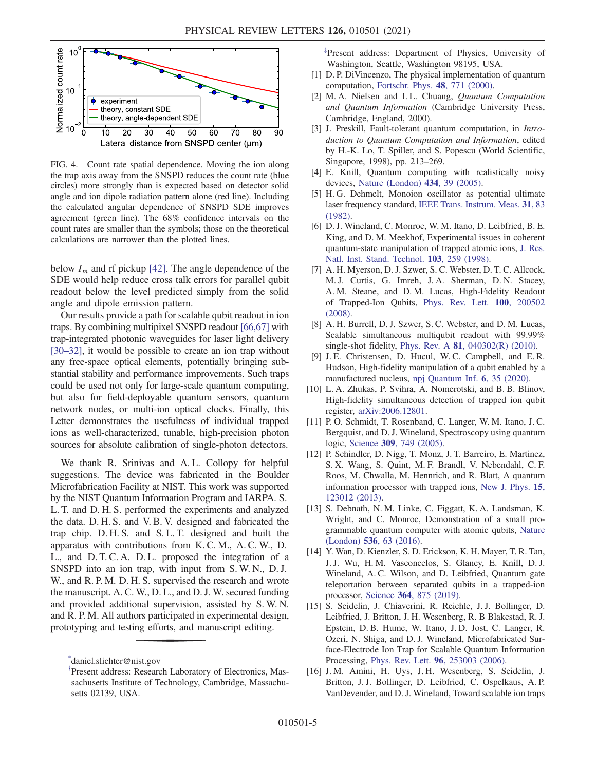<span id="page-4-13"></span>

FIG. 4. Count rate spatial dependence. Moving the ion along the trap axis away from the SNSPD reduces the count rate (blue circles) more strongly than is expected based on detector solid angle and ion dipole radiation pattern alone (red line). Including the calculated angular dependence of SNSPD SDE improves agreement (green line). The 68% confidence intervals on the count rates are smaller than the symbols; those on the theoretical calculations are narrower than the plotted lines.

below  $I_m$  and rf pickup [\[42\]](#page-5-10). The angle dependence of the SDE would help reduce cross talk errors for parallel qubit readout below the level predicted simply from the solid angle and dipole emission pattern.

Our results provide a path for scalable qubit readout in ion traps. By combining multipixel SNSPD readout [\[66,67\]](#page-6-8) with trap-integrated photonic waveguides for laser light delivery [\[30](#page-5-4)–32], it would be possible to create an ion trap without any free-space optical elements, potentially bringing substantial stability and performance improvements. Such traps could be used not only for large-scale quantum computing, but also for field-deployable quantum sensors, quantum network nodes, or multi-ion optical clocks. Finally, this Letter demonstrates the usefulness of individual trapped ions as well-characterized, tunable, high-precision photon sources for absolute calibration of single-photon detectors.

We thank R. Srinivas and A. L. Collopy for helpful suggestions. The device was fabricated in the Boulder Microfabrication Facility at NIST. This work was supported by the NIST Quantum Information Program and IARPA. S. L. T. and D. H. S. performed the experiments and analyzed the data. D. H. S. and V. B. V. designed and fabricated the trap chip. D. H. S. and S. L. T. designed and built the apparatus with contributions from K. C. M., A. C. W., D. L., and D. T. C. A. D. L. proposed the integration of a SNSPD into an ion trap, with input from S. W. N., D. J. W., and R. P. M. D. H. S. supervised the research and wrote the manuscript. A. C. W., D. L., and D. J. W. secured funding and provided additional supervision, assisted by S. W. N. and R. P. M. All authors participated in experimental design, prototyping and testing efforts, and manuscript editing.

<span id="page-4-1"></span>[‡](#page-0-1) Present address: Department of Physics, University of Washington, Seattle, Washington 98195, USA.

- <span id="page-4-3"></span>[1] D. P. DiVincenzo, The physical implementation of quantum computation, [Fortschr. Phys.](https://doi.org/10.1002/1521-3978(200009)48:9/11%3C771::AID-PROP771%3E3.0.CO;2-E) 48, 771 (2000).
- [2] M. A. Nielsen and I. L. Chuang, Quantum Computation and Quantum Information (Cambridge University Press, Cambridge, England, 2000).
- <span id="page-4-4"></span>[3] J. Preskill, Fault-tolerant quantum computation, in Introduction to Quantum Computation and Information, edited by H.-K. Lo, T. Spiller, and S. Popescu (World Scientific, Singapore, 1998), pp. 213–269.
- [4] E. Knill, Quantum computing with realistically noisy devices, [Nature \(London\)](https://doi.org/10.1038/nature03350) 434, 39 (2005).
- <span id="page-4-5"></span>[5] H. G. Dehmelt, Monoion oscillator as potential ultimate laser frequency standard, [IEEE Trans. Instrum. Meas.](https://doi.org/10.1109/TIM.1982.6312526) 31, 83 [\(1982\).](https://doi.org/10.1109/TIM.1982.6312526)
- <span id="page-4-6"></span>[6] D. J. Wineland, C. Monroe, W. M. Itano, D. Leibfried, B. E. King, and D. M. Meekhof, Experimental issues in coherent quantum-state manipulation of trapped atomic ions, [J. Res.](https://doi.org/10.6028/jres.103.019) [Natl. Inst. Stand. Technol.](https://doi.org/10.6028/jres.103.019) 103, 259 (1998).
- <span id="page-4-7"></span>[7] A. H. Myerson, D. J. Szwer, S. C. Webster, D. T. C. Allcock, M. J. Curtis, G. Imreh, J. A. Sherman, D. N. Stacey, A. M. Steane, and D. M. Lucas, High-Fidelity Readout of Trapped-Ion Qubits, [Phys. Rev. Lett.](https://doi.org/10.1103/PhysRevLett.100.200502) 100, 200502 [\(2008\).](https://doi.org/10.1103/PhysRevLett.100.200502)
- <span id="page-4-9"></span>[8] A. H. Burrell, D. J. Szwer, S. C. Webster, and D. M. Lucas, Scalable simultaneous multiqubit readout with 99.99% single-shot fidelity, Phys. Rev. A 81[, 040302\(R\) \(2010\).](https://doi.org/10.1103/PhysRevA.81.040302)
- [9] J. E. Christensen, D. Hucul, W. C. Campbell, and E. R. Hudson, High-fidelity manipulation of a qubit enabled by a manufactured nucleus, [npj Quantum Inf.](https://doi.org/10.1038/s41534-020-0265-5) 6, 35 (2020).
- [10] L. A. Zhukas, P. Svihra, A. Nomerotski, and B. B. Blinov, High-fidelity simultaneous detection of trapped ion qubit register, [arXiv:2006.12801](https://arXiv.org/abs/2006.12801).
- <span id="page-4-8"></span>[11] P.O. Schmidt, T. Rosenband, C. Langer, W. M. Itano, J. C. Bergquist, and D. J. Wineland, Spectroscopy using quantum logic, Science 309[, 749 \(2005\).](https://doi.org/10.1126/science.1114375)
- [12] P. Schindler, D. Nigg, T. Monz, J. T. Barreiro, E. Martinez, S. X. Wang, S. Quint, M. F. Brandl, V. Nebendahl, C. F. Roos, M. Chwalla, M. Hennrich, and R. Blatt, A quantum information processor with trapped ions, [New J. Phys.](https://doi.org/10.1088/1367-2630/15/12/123012) 15, [123012 \(2013\).](https://doi.org/10.1088/1367-2630/15/12/123012)
- [13] S. Debnath, N. M. Linke, C. Figgatt, K. A. Landsman, K. Wright, and C. Monroe, Demonstration of a small programmable quantum computer with atomic qubits, [Nature](https://doi.org/10.1038/nature18648) (London) 536[, 63 \(2016\).](https://doi.org/10.1038/nature18648)
- <span id="page-4-10"></span>[14] Y. Wan, D. Kienzler, S. D. Erickson, K. H. Mayer, T. R. Tan, J. J. Wu, H. M. Vasconcelos, S. Glancy, E. Knill, D. J. Wineland, A. C. Wilson, and D. Leibfried, Quantum gate teleportation between separated qubits in a trapped-ion processor, Science 364[, 875 \(2019\)](https://doi.org/10.1126/science.aaw9415).
- <span id="page-4-11"></span>[15] S. Seidelin, J. Chiaverini, R. Reichle, J. J. Bollinger, D. Leibfried, J. Britton, J. H. Wesenberg, R. B Blakestad, R. J. Epstein, D. B. Hume, W. Itano, J. D. Jost, C. Langer, R. Ozeri, N. Shiga, and D. J. Wineland, Microfabricated Surface-Electrode Ion Trap for Scalable Quantum Information Processing, Phys. Rev. Lett. 96[, 253003 \(2006\).](https://doi.org/10.1103/PhysRevLett.96.253003)
- <span id="page-4-12"></span>[16] J. M. Amini, H. Uys, J. H. Wesenberg, S. Seidelin, J. Britton, J. J. Bollinger, D. Leibfried, C. Ospelkaus, A. P. VanDevender, and D. J. Wineland, Toward scalable ion traps

<span id="page-4-2"></span><span id="page-4-0"></span>[<sup>\\*</sup>](#page-0-0) daniel.slichter@nist.gov

[<sup>†</sup>](#page-0-1) Present address: Research Laboratory of Electronics, Massachusetts Institute of Technology, Cambridge, Massachusetts 02139, USA.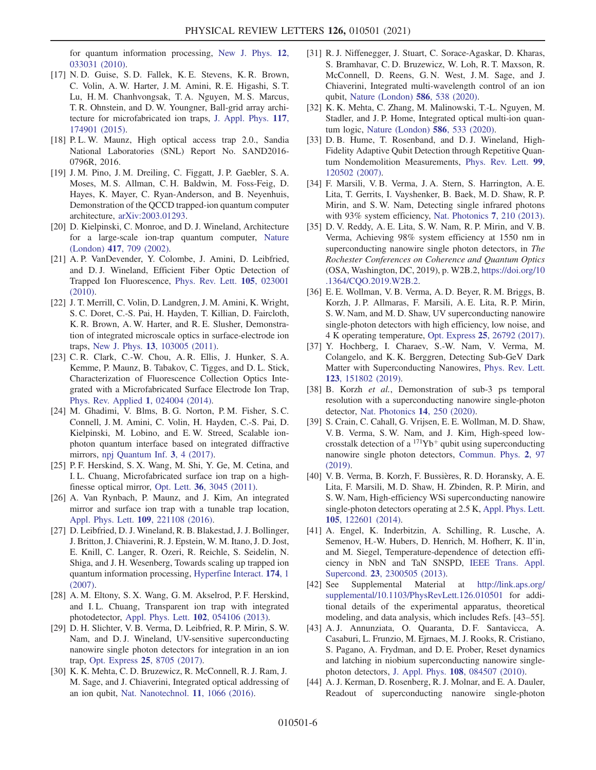for quantum information processing, [New J. Phys.](https://doi.org/10.1088/1367-2630/12/3/033031) 12, [033031 \(2010\).](https://doi.org/10.1088/1367-2630/12/3/033031)

- [17] N. D. Guise, S. D. Fallek, K. E. Stevens, K. R. Brown, C. Volin, A. W. Harter, J. M. Amini, R. E. Higashi, S. T. Lu, H. M. Chanhvongsak, T. A. Nguyen, M. S. Marcus, T. R. Ohnstein, and D. W. Youngner, Ball-grid array architecture for microfabricated ion traps, [J. Appl. Phys.](https://doi.org/10.1063/1.4917385) 117, [174901 \(2015\).](https://doi.org/10.1063/1.4917385)
- [18] P.L.W. Maunz, High optical access trap 2.0., Sandia National Laboratories (SNL) Report No. SAND2016- 0796R, 2016.
- [19] J. M. Pino, J. M. Dreiling, C. Figgatt, J. P. Gaebler, S. A. Moses, M. S. Allman, C. H. Baldwin, M. Foss-Feig, D. Hayes, K. Mayer, C. Ryan-Anderson, and B. Neyenhuis, Demonstration of the QCCD trapped-ion quantum computer architecture, [arXiv:2003.01293.](https://arXiv.org/abs/2003.01293)
- [20] D. Kielpinski, C. Monroe, and D. J. Wineland, Architecture for a large-scale ion-trap quantum computer, [Nature](https://doi.org/10.1038/nature00784) (London) 417[, 709 \(2002\)](https://doi.org/10.1038/nature00784).
- <span id="page-5-0"></span>[21] A. P. VanDevender, Y. Colombe, J. Amini, D. Leibfried, and D. J. Wineland, Efficient Fiber Optic Detection of Trapped Ion Fluorescence, [Phys. Rev. Lett.](https://doi.org/10.1103/PhysRevLett.105.023001) 105, 023001 [\(2010\).](https://doi.org/10.1103/PhysRevLett.105.023001)
- <span id="page-5-1"></span>[22] J. T. Merrill, C. Volin, D. Landgren, J. M. Amini, K. Wright, S. C. Doret, C.-S. Pai, H. Hayden, T. Killian, D. Faircloth, K. R. Brown, A. W. Harter, and R. E. Slusher, Demonstration of integrated microscale optics in surface-electrode ion traps, New J. Phys. 13[, 103005 \(2011\)](https://doi.org/10.1088/1367-2630/13/10/103005).
- [23] C. R. Clark, C.-W. Chou, A. R. Ellis, J. Hunker, S. A. Kemme, P. Maunz, B. Tabakov, C. Tigges, and D. L. Stick, Characterization of Fluorescence Collection Optics Integrated with a Microfabricated Surface Electrode Ion Trap, [Phys. Rev. Applied](https://doi.org/10.1103/PhysRevApplied.1.024004) 1, 024004 (2014).
- [24] M. Ghadimi, V. Blms, B. G. Norton, P. M. Fisher, S. C. Connell, J. M. Amini, C. Volin, H. Hayden, C.-S. Pai, D. Kielpinski, M. Lobino, and E. W. Streed, Scalable ionphoton quantum interface based on integrated diffractive mirrors, [npj Quantum Inf.](https://doi.org/10.1038/s41534-017-0006-6) 3, 4 (2017).
- <span id="page-5-2"></span>[25] P. F. Herskind, S. X. Wang, M. Shi, Y. Ge, M. Cetina, and I. L. Chuang, Microfabricated surface ion trap on a highfinesse optical mirror, Opt. Lett. 36[, 3045 \(2011\).](https://doi.org/10.1364/OL.36.003045)
- [26] A. Van Rynbach, P. Maunz, and J. Kim, An integrated mirror and surface ion trap with a tunable trap location, [Appl. Phys. Lett.](https://doi.org/10.1063/1.4970542) 109, 221108 (2016).
- <span id="page-5-3"></span>[27] D. Leibfried, D. J. Wineland, R. B. Blakestad, J. J. Bollinger, J. Britton, J. Chiaverini, R. J. Epstein, W. M. Itano, J. D. Jost, E. Knill, C. Langer, R. Ozeri, R. Reichle, S. Seidelin, N. Shiga, and J. H. Wesenberg, Towards scaling up trapped ion quantum information processing, [Hyperfine Interact.](https://doi.org/10.1007/s10751-007-9571-y) 174, 1 [\(2007\).](https://doi.org/10.1007/s10751-007-9571-y)
- [28] A. M. Eltony, S. X. Wang, G. M. Akselrod, P. F. Herskind, and I. L. Chuang, Transparent ion trap with integrated photodetector, [Appl. Phys. Lett.](https://doi.org/10.1063/1.4790843) 102, 054106 (2013).
- <span id="page-5-8"></span>[29] D. H. Slichter, V. B. Verma, D. Leibfried, R. P. Mirin, S. W. Nam, and D. J. Wineland, UV-sensitive superconducting nanowire single photon detectors for integration in an ion trap, Opt. Express 25[, 8705 \(2017\).](https://doi.org/10.1364/OE.25.008705)
- <span id="page-5-4"></span>[30] K. K. Mehta, C. D. Bruzewicz, R. McConnell, R. J. Ram, J. M. Sage, and J. Chiaverini, Integrated optical addressing of an ion qubit, [Nat. Nanotechnol.](https://doi.org/10.1038/nnano.2016.139) 11, 1066 (2016).
- [31] R. J. Niffenegger, J. Stuart, C. Sorace-Agaskar, D. Kharas, S. Bramhavar, C. D. Bruzewicz, W. Loh, R. T. Maxson, R. McConnell, D. Reens, G. N. West, J. M. Sage, and J. Chiaverini, Integrated multi-wavelength control of an ion qubit, [Nature \(London\)](https://doi.org/10.1038/s41586-020-2811-x) 586, 538 (2020).
- [32] K. K. Mehta, C. Zhang, M. Malinowski, T.-L. Nguyen, M. Stadler, and J. P. Home, Integrated optical multi-ion quantum logic, [Nature \(London\)](https://doi.org/10.1038/s41586-020-2823-6) 586, 533 (2020).
- [33] D. B. Hume, T. Rosenband, and D. J. Wineland, High-Fidelity Adaptive Qubit Detection through Repetitive Quantum Nondemolition Measurements, [Phys. Rev. Lett.](https://doi.org/10.1103/PhysRevLett.99.120502) 99, [120502 \(2007\).](https://doi.org/10.1103/PhysRevLett.99.120502)
- <span id="page-5-5"></span>[34] F. Marsili, V. B. Verma, J. A. Stern, S. Harrington, A. E. Lita, T. Gerrits, I. Vayshenker, B. Baek, M. D. Shaw, R. P. Mirin, and S. W. Nam, Detecting single infrared photons with 93% system efficiency, [Nat. Photonics](https://doi.org/10.1038/nphoton.2013.13) 7, 210 (2013).
- [35] D. V. Reddy, A. E. Lita, S. W. Nam, R. P. Mirin, and V. B. Verma, Achieving 98% system efficiency at 1550 nm in superconducting nanowire single photon detectors, in The Rochester Conferences on Coherence and Quantum Optics (OSA, Washington, DC, 2019), p. W2B.2, [https://doi.org/10](https://doi.org/10.1364/CQO.2019.W2B.2) [.1364/CQO.2019.W2B.2.](https://doi.org/10.1364/CQO.2019.W2B.2)
- <span id="page-5-6"></span>[36] E. E. Wollman, V. B. Verma, A. D. Beyer, R. M. Briggs, B. Korzh, J. P. Allmaras, F. Marsili, A. E. Lita, R. P. Mirin, S. W. Nam, and M. D. Shaw, UV superconducting nanowire single-photon detectors with high efficiency, low noise, and 4 K operating temperature, Opt. Express 25[, 26792 \(2017\).](https://doi.org/10.1364/OE.25.026792)
- [37] Y. Hochberg, I. Charaev, S.-W. Nam, V. Verma, M. Colangelo, and K. K. Berggren, Detecting Sub-GeV Dark Matter with Superconducting Nanowires, [Phys. Rev. Lett.](https://doi.org/10.1103/PhysRevLett.123.151802) 123[, 151802 \(2019\).](https://doi.org/10.1103/PhysRevLett.123.151802)
- <span id="page-5-7"></span>[38] B. Korzh et al., Demonstration of sub-3 ps temporal resolution with a superconducting nanowire single-photon detector, [Nat. Photonics](https://doi.org/10.1038/s41566-020-0589-x) 14, 250 (2020).
- <span id="page-5-9"></span>[39] S. Crain, C. Cahall, G. Vrijsen, E. E. Wollman, M. D. Shaw, V. B. Verma, S. W. Nam, and J. Kim, High-speed lowcrosstalk detection of a  $171Yb<sup>+</sup>$  qubit using superconducting nanowire single photon detectors, [Commun. Phys.](https://doi.org/10.1038/s42005-019-0195-8) 2, 97 [\(2019\).](https://doi.org/10.1038/s42005-019-0195-8)
- [40] V. B. Verma, B. Korzh, F. Bussières, R. D. Horansky, A. E. Lita, F. Marsili, M. D. Shaw, H. Zbinden, R. P. Mirin, and S. W. Nam, High-efficiency WSi superconducting nanowire single-photon detectors operating at 2.5 K, [Appl. Phys. Lett.](https://doi.org/10.1063/1.4896045) 105[, 122601 \(2014\).](https://doi.org/10.1063/1.4896045)
- [41] A. Engel, K. Inderbitzin, A. Schilling, R. Lusche, A. Semenov, H.-W. Hubers, D. Henrich, M. Hofherr, K. Il'in, and M. Siegel, Temperature-dependence of detection efficiency in NbN and TaN SNSPD, [IEEE Trans. Appl.](https://doi.org/10.1109/TASC.2013.2239345) Supercond. 23[, 2300505 \(2013\).](https://doi.org/10.1109/TASC.2013.2239345)
- <span id="page-5-10"></span>[42] See Supplemental Material at [http://link.aps.org/](http://link.aps.org/supplemental/10.1103/PhysRevLett.126.010501) [supplemental/10.1103/PhysRevLett.126.010501](http://link.aps.org/supplemental/10.1103/PhysRevLett.126.010501) for additional details of the experimental apparatus, theoretical modeling, and data analysis, which includes Refs. [43–55].
- [43] A. J. Annunziata, O. Quaranta, D. F. Santavicca, A. Casaburi, L. Frunzio, M. Ejrnaes, M. J. Rooks, R. Cristiano, S. Pagano, A. Frydman, and D. E. Prober, Reset dynamics and latching in niobium superconducting nanowire singlephoton detectors, J. Appl. Phys. 108[, 084507 \(2010\)](https://doi.org/10.1063/1.3498809).
- [44] A. J. Kerman, D. Rosenberg, R. J. Molnar, and E. A. Dauler, Readout of superconducting nanowire single-photon